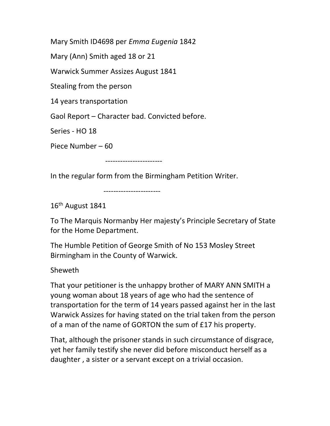Mary Smith ID4698 per Emma Eugenia 1842

Mary (Ann) Smith aged 18 or 21

Warwick Summer Assizes August 1841

Stealing from the person

14 years transportation

Gaol Report – Character bad. Convicted before.

Series - HO 18

Piece Number – 60

-----------------------

In the regular form from the Birmingham Petition Writer.

-----------------------

16th August 1841

To The Marquis Normanby Her majesty's Principle Secretary of State for the Home Department.

The Humble Petition of George Smith of No 153 Mosley Street Birmingham in the County of Warwick.

Sheweth

That your petitioner is the unhappy brother of MARY ANN SMITH a young woman about 18 years of age who had the sentence of transportation for the term of 14 years passed against her in the last Warwick Assizes for having stated on the trial taken from the person of a man of the name of GORTON the sum of £17 his property.

That, although the prisoner stands in such circumstance of disgrace, yet her family testify she never did before misconduct herself as a daughter , a sister or a servant except on a trivial occasion.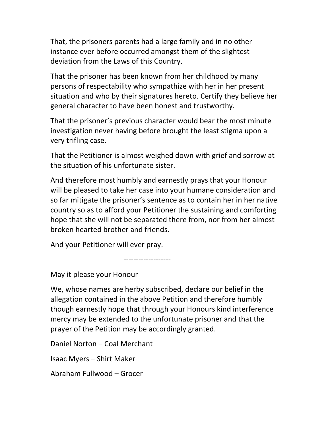That, the prisoners parents had a large family and in no other instance ever before occurred amongst them of the slightest deviation from the Laws of this Country.

That the prisoner has been known from her childhood by many persons of respectability who sympathize with her in her present situation and who by their signatures hereto. Certify they believe her general character to have been honest and trustworthy.

That the prisoner's previous character would bear the most minute investigation never having before brought the least stigma upon a very trifling case.

That the Petitioner is almost weighed down with grief and sorrow at the situation of his unfortunate sister.

And therefore most humbly and earnestly prays that your Honour will be pleased to take her case into your humane consideration and so far mitigate the prisoner's sentence as to contain her in her native country so as to afford your Petitioner the sustaining and comforting hope that she will not be separated there from, nor from her almost broken hearted brother and friends.

And your Petitioner will ever pray.

May it please your Honour

We, whose names are herby subscribed, declare our belief in the allegation contained in the above Petition and therefore humbly though earnestly hope that through your Honours kind interference mercy may be extended to the unfortunate prisoner and that the prayer of the Petition may be accordingly granted.

-------------------

Daniel Norton – Coal Merchant

Isaac Myers – Shirt Maker

Abraham Fullwood – Grocer